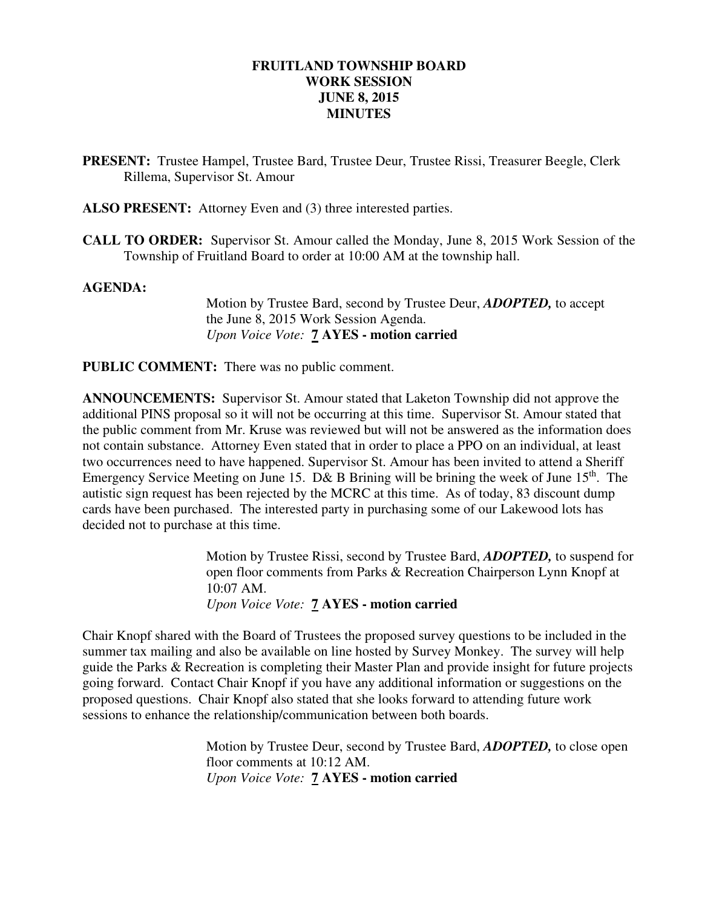### **FRUITLAND TOWNSHIP BOARD WORK SESSION JUNE 8, 2015 MINUTES**

- **PRESENT:** Trustee Hampel, Trustee Bard, Trustee Deur, Trustee Rissi, Treasurer Beegle, Clerk Rillema, Supervisor St. Amour
- **ALSO PRESENT:** Attorney Even and (3) three interested parties.
- **CALL TO ORDER:** Supervisor St. Amour called the Monday, June 8, 2015 Work Session of the Township of Fruitland Board to order at 10:00 AM at the township hall.

#### **AGENDA:**

 Motion by Trustee Bard, second by Trustee Deur, *ADOPTED,* to accept the June 8, 2015 Work Session Agenda.  *Upon Voice Vote:* **7 AYES - motion carried** 

**PUBLIC COMMENT:** There was no public comment.

**ANNOUNCEMENTS:** Supervisor St. Amour stated that Laketon Township did not approve the additional PINS proposal so it will not be occurring at this time. Supervisor St. Amour stated that the public comment from Mr. Kruse was reviewed but will not be answered as the information does not contain substance. Attorney Even stated that in order to place a PPO on an individual, at least two occurrences need to have happened. Supervisor St. Amour has been invited to attend a Sheriff Emergency Service Meeting on June 15. D& B Brining will be brining the week of June 15<sup>th</sup>. The autistic sign request has been rejected by the MCRC at this time. As of today, 83 discount dump cards have been purchased. The interested party in purchasing some of our Lakewood lots has decided not to purchase at this time.

> Motion by Trustee Rissi, second by Trustee Bard, *ADOPTED,* to suspend for open floor comments from Parks & Recreation Chairperson Lynn Knopf at 10:07 AM. *Upon Voice Vote:* **7 AYES - motion carried**

Chair Knopf shared with the Board of Trustees the proposed survey questions to be included in the summer tax mailing and also be available on line hosted by Survey Monkey. The survey will help guide the Parks & Recreation is completing their Master Plan and provide insight for future projects going forward. Contact Chair Knopf if you have any additional information or suggestions on the proposed questions. Chair Knopf also stated that she looks forward to attending future work sessions to enhance the relationship/communication between both boards.

> Motion by Trustee Deur, second by Trustee Bard, *ADOPTED,* to close open floor comments at 10:12 AM. *Upon Voice Vote:* **7 AYES - motion carried**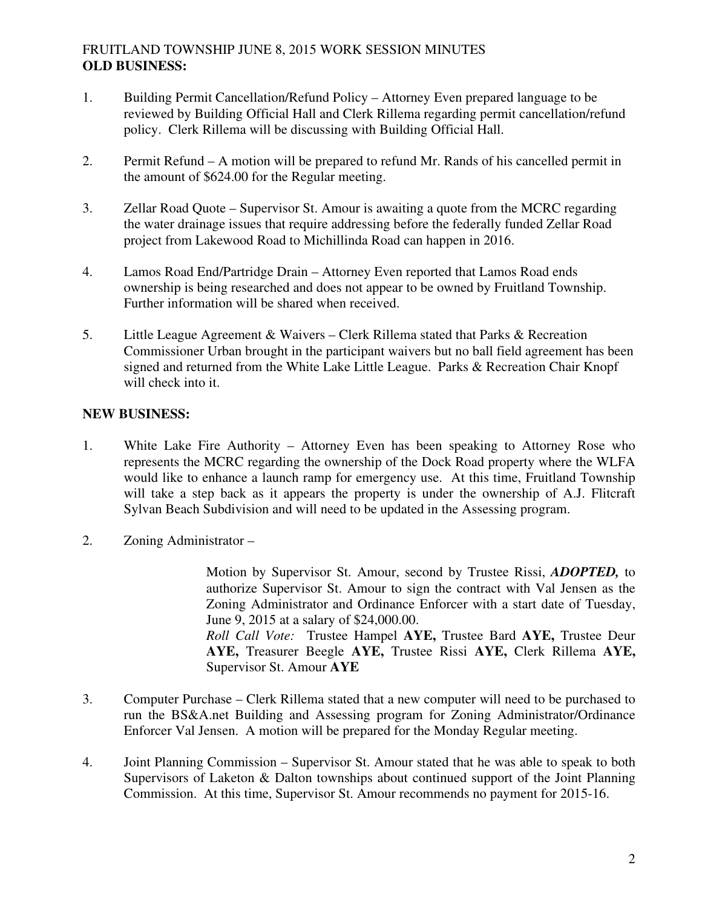# FRUITLAND TOWNSHIP JUNE 8, 2015 WORK SESSION MINUTES **OLD BUSINESS:**

- 1. Building Permit Cancellation/Refund Policy Attorney Even prepared language to be reviewed by Building Official Hall and Clerk Rillema regarding permit cancellation/refund policy. Clerk Rillema will be discussing with Building Official Hall.
- 2. Permit Refund A motion will be prepared to refund Mr. Rands of his cancelled permit in the amount of \$624.00 for the Regular meeting.
- 3. Zellar Road Quote Supervisor St. Amour is awaiting a quote from the MCRC regarding the water drainage issues that require addressing before the federally funded Zellar Road project from Lakewood Road to Michillinda Road can happen in 2016.
- 4. Lamos Road End/Partridge Drain Attorney Even reported that Lamos Road ends ownership is being researched and does not appear to be owned by Fruitland Township. Further information will be shared when received.
- 5. Little League Agreement & Waivers Clerk Rillema stated that Parks & Recreation Commissioner Urban brought in the participant waivers but no ball field agreement has been signed and returned from the White Lake Little League. Parks & Recreation Chair Knopf will check into it.

# **NEW BUSINESS:**

- 1. White Lake Fire Authority Attorney Even has been speaking to Attorney Rose who represents the MCRC regarding the ownership of the Dock Road property where the WLFA would like to enhance a launch ramp for emergency use. At this time, Fruitland Township will take a step back as it appears the property is under the ownership of A.J. Flitcraft Sylvan Beach Subdivision and will need to be updated in the Assessing program.
- 2. Zoning Administrator –

Motion by Supervisor St. Amour, second by Trustee Rissi, *ADOPTED,* to authorize Supervisor St. Amour to sign the contract with Val Jensen as the Zoning Administrator and Ordinance Enforcer with a start date of Tuesday, June 9, 2015 at a salary of \$24,000.00. *Roll Call Vote:* Trustee Hampel **AYE,** Trustee Bard **AYE,** Trustee Deur **AYE,** Treasurer Beegle **AYE,** Trustee Rissi **AYE,** Clerk Rillema **AYE,**  Supervisor St. Amour **AYE** 

- 3. Computer Purchase Clerk Rillema stated that a new computer will need to be purchased to run the BS&A.net Building and Assessing program for Zoning Administrator/Ordinance Enforcer Val Jensen. A motion will be prepared for the Monday Regular meeting.
- 4. Joint Planning Commission Supervisor St. Amour stated that he was able to speak to both Supervisors of Laketon & Dalton townships about continued support of the Joint Planning Commission. At this time, Supervisor St. Amour recommends no payment for 2015-16.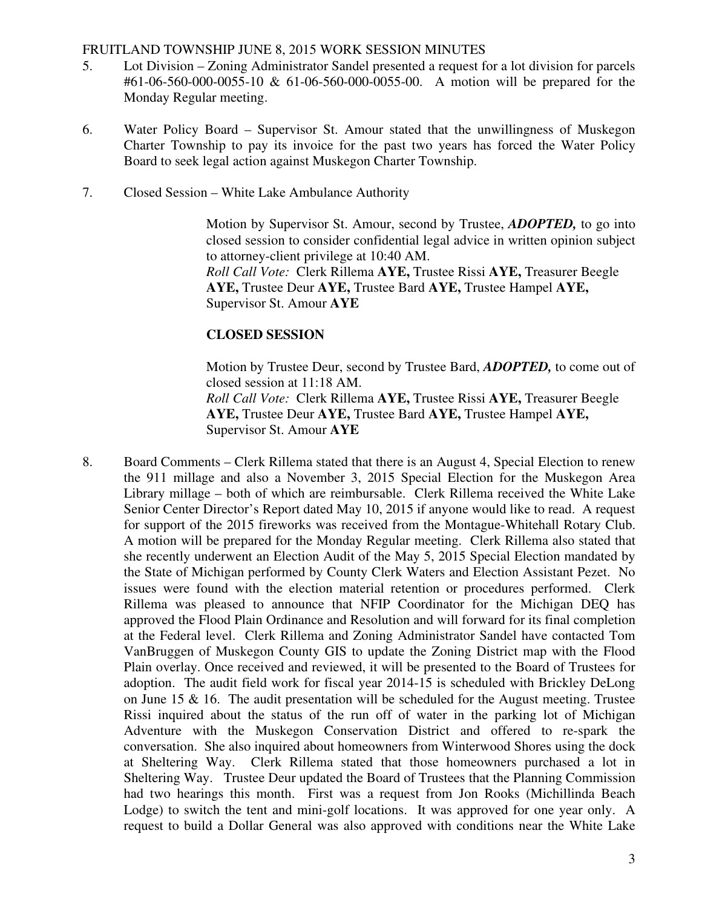#### FRUITLAND TOWNSHIP JUNE 8, 2015 WORK SESSION MINUTES

- 5. Lot Division Zoning Administrator Sandel presented a request for a lot division for parcels #61-06-560-000-0055-10 & 61-06-560-000-0055-00. A motion will be prepared for the Monday Regular meeting.
- 6. Water Policy Board Supervisor St. Amour stated that the unwillingness of Muskegon Charter Township to pay its invoice for the past two years has forced the Water Policy Board to seek legal action against Muskegon Charter Township.
- 7. Closed Session White Lake Ambulance Authority

Motion by Supervisor St. Amour, second by Trustee, *ADOPTED,* to go into closed session to consider confidential legal advice in written opinion subject to attorney-client privilege at 10:40 AM. *Roll Call Vote:* Clerk Rillema **AYE,** Trustee Rissi **AYE,** Treasurer Beegle **AYE,** Trustee Deur **AYE,** Trustee Bard **AYE,** Trustee Hampel **AYE,**  Supervisor St. Amour **AYE** 

# **CLOSED SESSION**

Motion by Trustee Deur, second by Trustee Bard, *ADOPTED,* to come out of closed session at 11:18 AM. *Roll Call Vote:* Clerk Rillema **AYE,** Trustee Rissi **AYE,** Treasurer Beegle **AYE,** Trustee Deur **AYE,** Trustee Bard **AYE,** Trustee Hampel **AYE,**  Supervisor St. Amour **AYE**

8. Board Comments – Clerk Rillema stated that there is an August 4, Special Election to renew the 911 millage and also a November 3, 2015 Special Election for the Muskegon Area Library millage – both of which are reimbursable. Clerk Rillema received the White Lake Senior Center Director's Report dated May 10, 2015 if anyone would like to read. A request for support of the 2015 fireworks was received from the Montague-Whitehall Rotary Club. A motion will be prepared for the Monday Regular meeting. Clerk Rillema also stated that she recently underwent an Election Audit of the May 5, 2015 Special Election mandated by the State of Michigan performed by County Clerk Waters and Election Assistant Pezet. No issues were found with the election material retention or procedures performed. Clerk Rillema was pleased to announce that NFIP Coordinator for the Michigan DEQ has approved the Flood Plain Ordinance and Resolution and will forward for its final completion at the Federal level. Clerk Rillema and Zoning Administrator Sandel have contacted Tom VanBruggen of Muskegon County GIS to update the Zoning District map with the Flood Plain overlay. Once received and reviewed, it will be presented to the Board of Trustees for adoption. The audit field work for fiscal year 2014-15 is scheduled with Brickley DeLong on June 15  $\&$  16. The audit presentation will be scheduled for the August meeting. Trustee Rissi inquired about the status of the run off of water in the parking lot of Michigan Adventure with the Muskegon Conservation District and offered to re-spark the conversation. She also inquired about homeowners from Winterwood Shores using the dock at Sheltering Way. Clerk Rillema stated that those homeowners purchased a lot in Sheltering Way. Trustee Deur updated the Board of Trustees that the Planning Commission had two hearings this month. First was a request from Jon Rooks (Michillinda Beach Lodge) to switch the tent and mini-golf locations. It was approved for one year only. A request to build a Dollar General was also approved with conditions near the White Lake